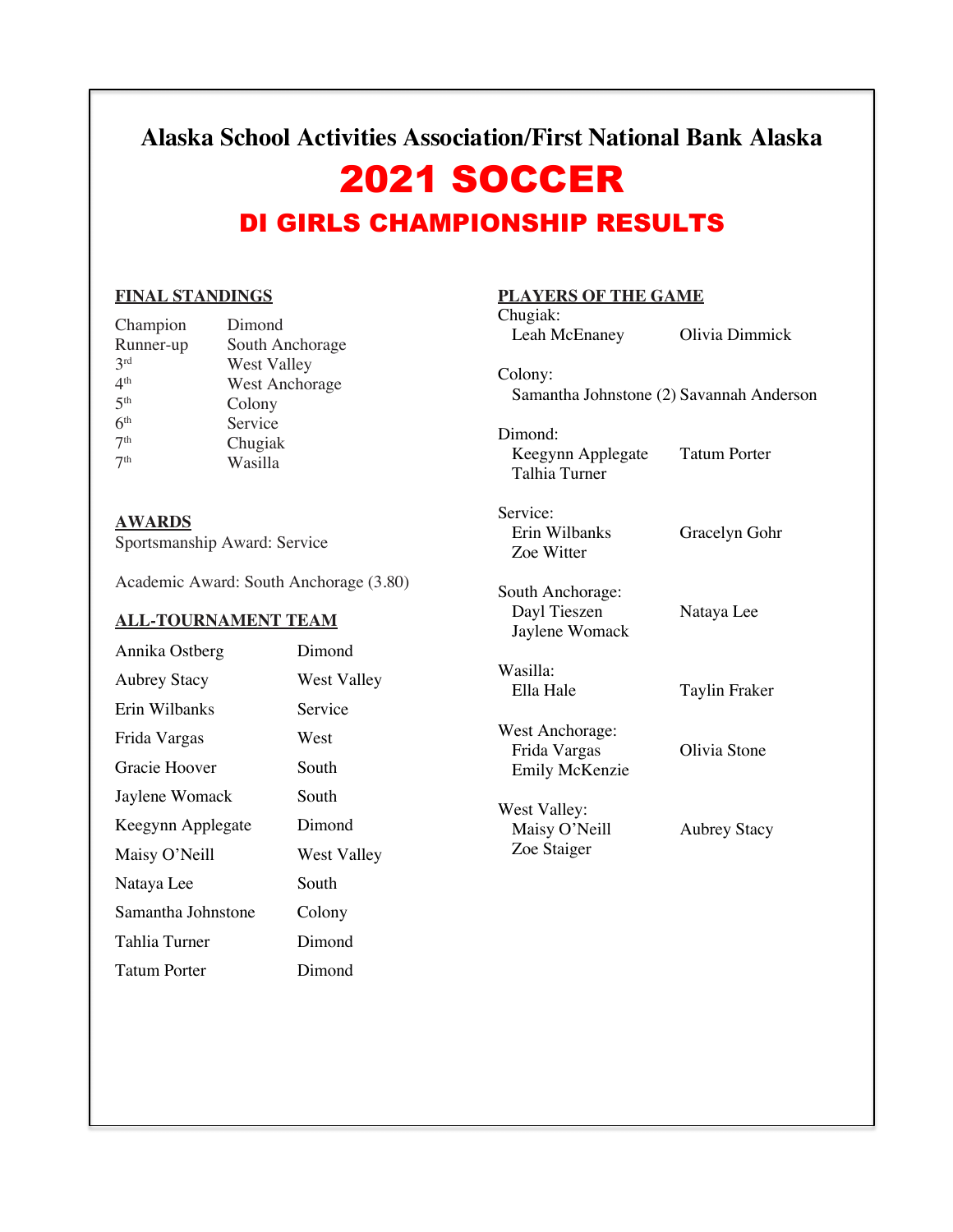### **Alaska School Activities Association/First National Bank Alaska**

# 2021 SOCCER DI GIRLS CHAMPIONSHIP RESULTS

### **FINAL STANDINGS**

| Champion        | Dimond                |
|-----------------|-----------------------|
| Runner-up       | South Anchorage       |
| 2rd             | <b>West Valley</b>    |
| 4 <sup>th</sup> | <b>West Anchorage</b> |
| 5 <sup>th</sup> | Colony                |
| 6 <sup>th</sup> | Service               |
| 7 <sup>th</sup> | Chugiak               |
| 7 <sup>th</sup> | Wasilla               |
|                 |                       |

#### **AWARDS**

Sportsmanship Award: Service

Academic Award: South Anchorage (3.80)

#### **ALL-TOURNAMENT TEAM**

| Annika Ostberg      | Dimond      |
|---------------------|-------------|
| <b>Aubrey Stacy</b> | West Valley |
| Erin Wilbanks       | Service     |
| Frida Vargas        | West        |
| Gracie Hoover       | South       |
| Jaylene Womack      | South       |
| Keegynn Applegate   | Dimond      |
| Maisy O'Neill       | West Valley |
| Nataya Lee          | South       |
| Samantha Johnstone  | Colony      |
| Tahlia Turner       | Dimond      |
| Tatum Porter        | Dimond      |

### **PLAYERS OF THE GAME**

| Chugiak:<br>Leah McEnaney                                | Olivia Dimmick      |
|----------------------------------------------------------|---------------------|
| Colony:<br>Samantha Johnstone (2) Savannah Anderson      |                     |
| Dimond:<br>Keegynn Applegate<br>Talhia Turner            | <b>Tatum Porter</b> |
| Service:<br>Erin Wilbanks<br>Zoe Witter                  | Gracelyn Gohr       |
| South Anchorage:<br>Dayl Tieszen<br>Jaylene Womack       | Nataya Lee          |
| Wasilla:<br>Ella Hale                                    | Taylin Fraker       |
| West Anchorage:<br>Frida Vargas<br><b>Emily McKenzie</b> | Olivia Stone        |
| West Valley:<br>Maisy O'Neill<br>Zoe Staiger             | <b>Aubrey Stacy</b> |
|                                                          |                     |
|                                                          |                     |